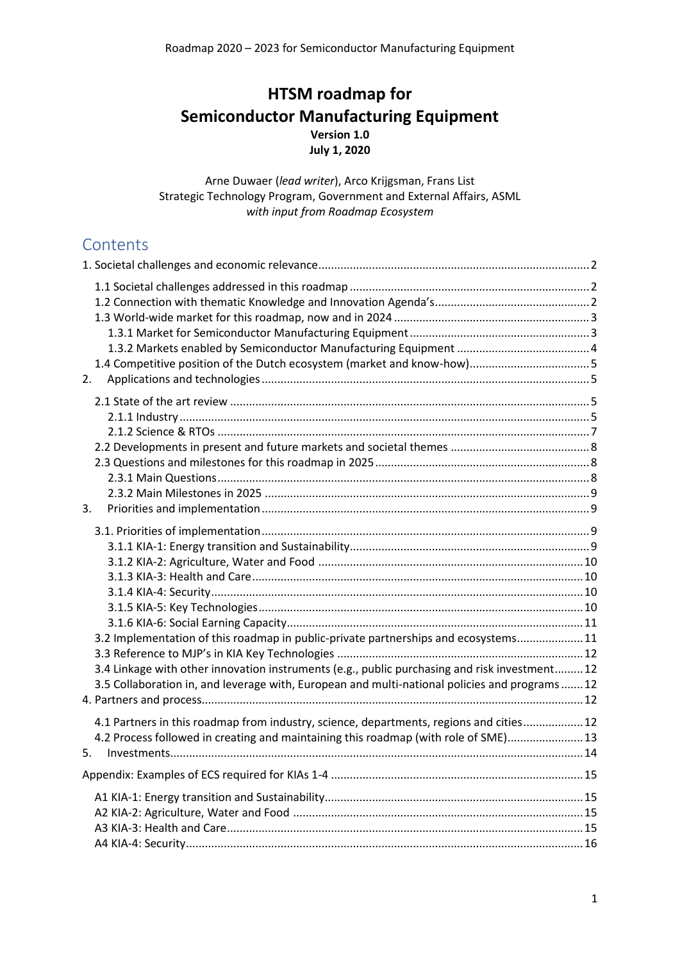# **HTSM roadmap for Semiconductor Manufacturing Equipment Version 1.0 July 1, 2020**

Arne Duwaer (*lead writer*), Arco Krijgsman, Frans List Strategic Technology Program, Government and External Affairs, ASML *with input from Roadmap Ecosystem*

# **Contents**

| 2.                                                                                                                                                                                                                                                                                     |  |
|----------------------------------------------------------------------------------------------------------------------------------------------------------------------------------------------------------------------------------------------------------------------------------------|--|
| 3.                                                                                                                                                                                                                                                                                     |  |
| 3.2 Implementation of this roadmap in public-private partnerships and ecosystems 11<br>3.4 Linkage with other innovation instruments (e.g., public purchasing and risk investment 12<br>3.5 Collaboration in, and leverage with, European and multi-national policies and programs  12 |  |
| 4.1 Partners in this roadmap from industry, science, departments, regions and cities 12<br>4.2 Process followed in creating and maintaining this roadmap (with role of SME) 13<br>5.                                                                                                   |  |
|                                                                                                                                                                                                                                                                                        |  |
|                                                                                                                                                                                                                                                                                        |  |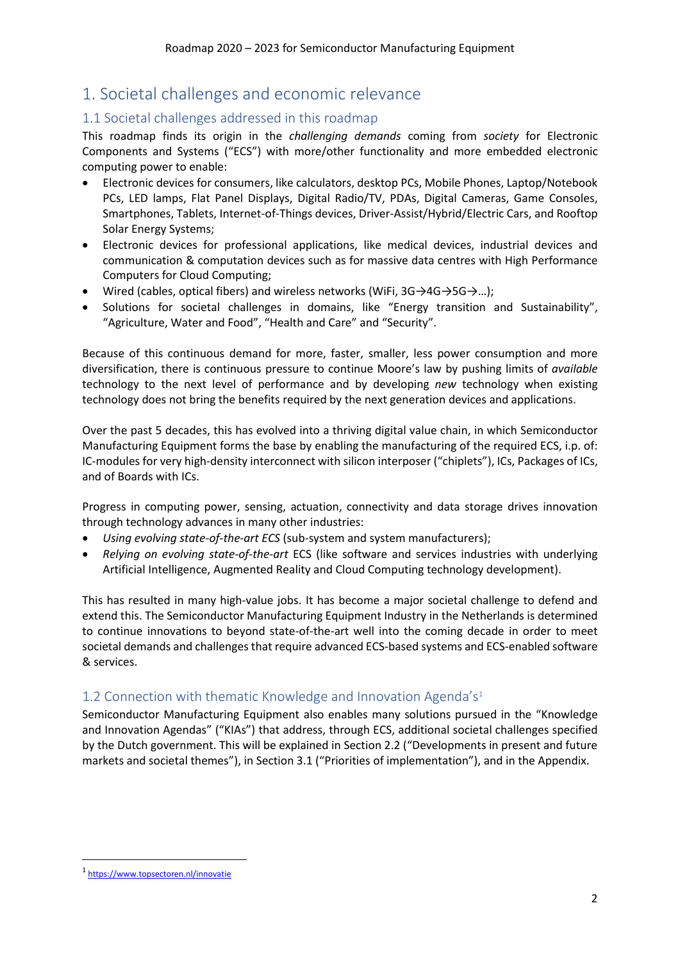# <span id="page-1-0"></span>1. Societal challenges and economic relevance

# <span id="page-1-1"></span>1.1 Societal challenges addressed in this roadmap

This roadmap finds its origin in the *challenging demands* coming from *society* for Electronic Components and Systems ("ECS") with more/other functionality and more embedded electronic computing power to enable:

- Electronic devices for consumers, like calculators, desktop PCs, Mobile Phones, Laptop/Notebook PCs, LED lamps, Flat Panel Displays, Digital Radio/TV, PDAs, Digital Cameras, Game Consoles, Smartphones, Tablets, Internet-of-Things devices, Driver-Assist/Hybrid/Electric Cars, and Rooftop Solar Energy Systems;
- Electronic devices for professional applications, like medical devices, industrial devices and communication & computation devices such as for massive data centres with High Performance Computers for Cloud Computing;
- Wired (cables, optical fibers) and wireless networks (WiFi,  $3G \rightarrow 4G \rightarrow 5G \rightarrow ...$ );
- Solutions for societal challenges in domains, like "Energy transition and Sustainability", "Agriculture, Water and Food", "Health and Care" and "Security".

Because of this continuous demand for more, faster, smaller, less power consumption and more diversification, there is continuous pressure to continue Moore's law by pushing limits of *available* technology to the next level of performance and by developing *new* technology when existing technology does not bring the benefits required by the next generation devices and applications.

Over the past 5 decades, this has evolved into a thriving digital value chain, in which Semiconductor Manufacturing Equipment forms the base by enabling the manufacturing of the required ECS, i.p. of: IC-modules for very high-density interconnect with silicon interposer ("chiplets"), ICs, Packages of ICs, and of Boards with ICs.

Progress in computing power, sensing, actuation, connectivity and data storage drives innovation through technology advances in many other industries:

- *Using evolving state-of-the-art ECS* (sub-system and system manufacturers);
- *Relying on evolving state-of-the-art* ECS (like software and services industries with underlying Artificial Intelligence, Augmented Reality and Cloud Computing technology development).

This has resulted in many high-value jobs. It has become a major societal challenge to defend and extend this. The Semiconductor Manufacturing Equipment Industry in the Netherlands is determined to continue innovations to beyond state-of-the-art well into the coming decade in order to meet societal demands and challenges that require advanced ECS-based systems and ECS-enabled software & services.

# <span id="page-1-2"></span>1.2 Connection with thematic Knowledge and Innovation Agenda's<sup>1</sup>

Semiconductor Manufacturing Equipment also enables many solutions pursued in the "Knowledge and Innovation Agendas" ("KIAs") that address, through ECS, additional societal challenges specified by the Dutch government. This will be explained in Section 2.2 ("Developments in present and future markets and societal themes"), in Section 3.1 ("Priorities of implementation"), and in the Appendix.

<sup>1</sup> <https://www.topsectoren.nl/innovatie>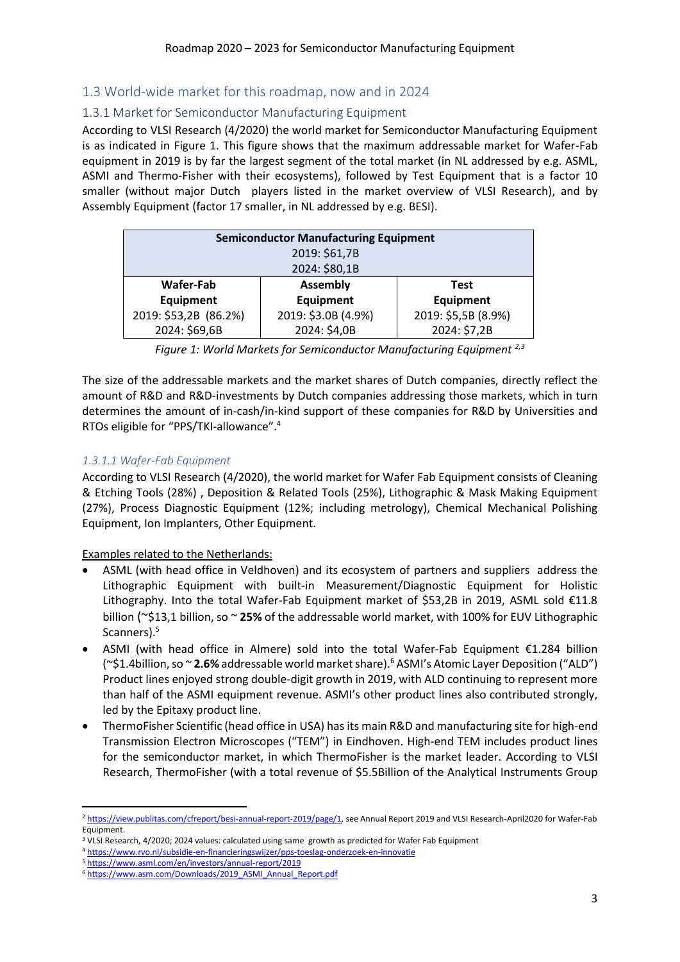## <span id="page-2-0"></span>1.3 World-wide market for this roadmap, now and in 2024

### <span id="page-2-1"></span>1.3.1 Market for Semiconductor Manufacturing Equipment

According to VLSI Research (4/2020) the world market for Semiconductor Manufacturing Equipment is as indicated in Figure 1. This figure shows that the maximum addressable market for Wafer-Fab equipment in 2019 is by far the largest segment of the total market (in NL addressed by e.g. ASML, ASMI and Thermo-Fisher with their ecosystems), followed by Test Equipment that is a factor 10 smaller (without major Dutch players listed in the market overview of VLSI Research), and by Assembly Equipment (factor 17 smaller, in NL addressed by e.g. BESI).

| <b>Semiconductor Manufacturing Equipment</b> |                                |                     |  |  |  |  |
|----------------------------------------------|--------------------------------|---------------------|--|--|--|--|
| 2019: \$61,7B                                |                                |                     |  |  |  |  |
| 2024: \$80,1B                                |                                |                     |  |  |  |  |
| Wafer-Fab                                    | <b>Assembly</b><br><b>Test</b> |                     |  |  |  |  |
| Equipment                                    | <b>Equipment</b>               | Equipment           |  |  |  |  |
| 2019: \$53,2B (86.2%)                        | 2019: \$3.0B (4.9%)            | 2019: \$5,5B (8.9%) |  |  |  |  |
| 2024: \$69,6B                                | 2024: \$4,0B                   | 2024: \$7,2B        |  |  |  |  |

The size of the addressable markets and the market shares of Dutch companies, directly reflect the amount of R&D and R&D-investments by Dutch companies addressing those markets, which in turn determines the amount of in-cash/in-kind support of these companies for R&D by Universities and RTOs eligible for "PPS/TKI-allowance".<sup>4</sup>

#### *1.3.1.1 Wafer-Fab Equipment*

According to VLSI Research (4/2020), the world market for Wafer Fab Equipment consists of Cleaning & Etching Tools (28%) , Deposition & Related Tools (25%), Lithographic & Mask Making Equipment (27%), Process Diagnostic Equipment (12%; including metrology), Chemical Mechanical Polishing Equipment, Ion Implanters, Other Equipment.

Examples related to the Netherlands:

- ASML (with head office in Veldhoven) and its ecosystem of partners and suppliers address the Lithographic Equipment with built-in Measurement/Diagnostic Equipment for Holistic Lithography. Into the total Wafer-Fab Equipment market of \$53,2B in 2019, ASML sold €11.8 billion (~\$13,1 billion, so ~ **25%** of the addressable world market, with 100% for EUV Lithographic Scanners).<sup>5</sup>
- ASMI (with head office in Almere) sold into the total Wafer-Fab Equipment  $\epsilon$ 1.284 billion (~\$1.4billion, so ~ **2.6%** addressable world market share).<sup>6</sup> ASMI's Atomic Layer Deposition ("ALD") Product lines enjoyed strong double-digit growth in 2019, with ALD continuing to represent more than half of the ASMI equipment revenue. ASMI's other product lines also contributed strongly, led by the Epitaxy product line.
- ThermoFisher Scientific (head office in USA) has its main R&D and manufacturing site for high-end Transmission Electron Microscopes ("TEM") in Eindhoven. High-end TEM includes product lines for the semiconductor market, in which ThermoFisher is the market leader. According to VLSI Research, ThermoFisher (with a total revenue of \$5.5Billion of the Analytical Instruments Group

<sup>&</sup>lt;sup>2</sup> [https://view.publitas.com/cfreport/besi-annual-report-2019/page/1,](https://view.publitas.com/cfreport/besi-annual-report-2019/page/1) see Annual Report 2019 and VLSI Research-April2020 for Wafer-Fab Equipment.

<sup>3</sup> VLSI Research, 4/2020; 2024 values: calculated using same growth as predicted for Wafer Fab Equipment

<sup>4</sup> <https://www.rvo.nl/subsidie-en-financieringswijzer/pps-toeslag-onderzoek-en-innovatie>

<sup>5</sup> <https://www.asml.com/en/investors/annual-report/2019>

<sup>6</sup> [https://www.asm.com/Downloads/2019\\_ASMI\\_Annual\\_Report.pdf](https://www.asm.com/Downloads/2019_ASMI_Annual_Report.pdf)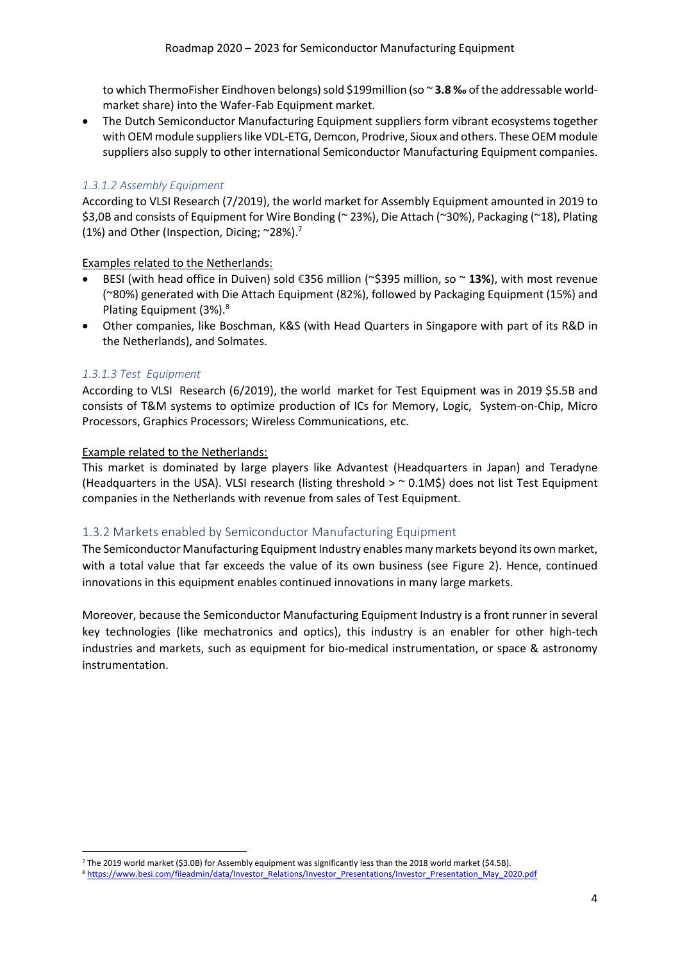to which ThermoFisher Eindhoven belongs) sold \$199million (so ~3.8 ‰ of the addressable worldmarket share) into the Wafer-Fab Equipment market.

• The Dutch Semiconductor Manufacturing Equipment suppliers form vibrant ecosystems together with OEM module supplierslike VDL-ETG, Demcon, Prodrive, Sioux and others. These OEM module suppliers also supply to other international Semiconductor Manufacturing Equipment companies.

#### *1.3.1.2 Assembly Equipment*

According to VLSI Research (7/2019), the world market for Assembly Equipment amounted in 2019 to \$3,0B and consists of Equipment for Wire Bonding (~ 23%), Die Attach (~30%), Packaging (~18), Plating (1%) and Other (Inspection, Dicing;  $\approx$  28%).<sup>7</sup>

#### Examples related to the Netherlands:

- BESI (with head office in Duiven) sold €356 million (~\$395 million, so ~ **13%**), with most revenue (~80%) generated with Die Attach Equipment (82%), followed by Packaging Equipment (15%) and Plating Equipment (3%).<sup>8</sup>
- Other companies, like Boschman, K&S (with Head Quarters in Singapore with part of its R&D in the Netherlands), and Solmates.

#### *1.3.1.3 Test Equipment*

According to VLSI Research (6/2019), the world market for Test Equipment was in 2019 \$5.5B and consists of T&M systems to optimize production of ICs for Memory, Logic, System-on-Chip, Micro Processors, Graphics Processors; Wireless Communications, etc.

#### Example related to the Netherlands:

This market is dominated by large players like Advantest (Headquarters in Japan) and Teradyne (Headquarters in the USA). VLSI research (listing threshold  $>$   $\sim$  0.1MS) does not list Test Equipment companies in the Netherlands with revenue from sales of Test Equipment.

### <span id="page-3-0"></span>1.3.2 Markets enabled by Semiconductor Manufacturing Equipment

The Semiconductor Manufacturing Equipment Industry enables many markets beyond its own market, with a total value that far exceeds the value of its own business (see Figure 2). Hence, continued innovations in this equipment enables continued innovations in many large markets.

Moreover, because the Semiconductor Manufacturing Equipment Industry is a front runner in several key technologies (like mechatronics and optics), this industry is an enabler for other high-tech industries and markets, such as equipment for bio-medical instrumentation, or space & astronomy instrumentation.

<sup>7</sup> The 2019 world market (\$3.0B) for Assembly equipment was significantly less than the 2018 world market (\$4.5B).

<sup>8</sup> [https://www.besi.com/fileadmin/data/Investor\\_Relations/Investor\\_Presentations/Investor\\_Presentation\\_May\\_2020.pdf](https://www.besi.com/fileadmin/data/Investor_Relations/Investor_Presentations/Investor_Presentation_May_2020.pdf)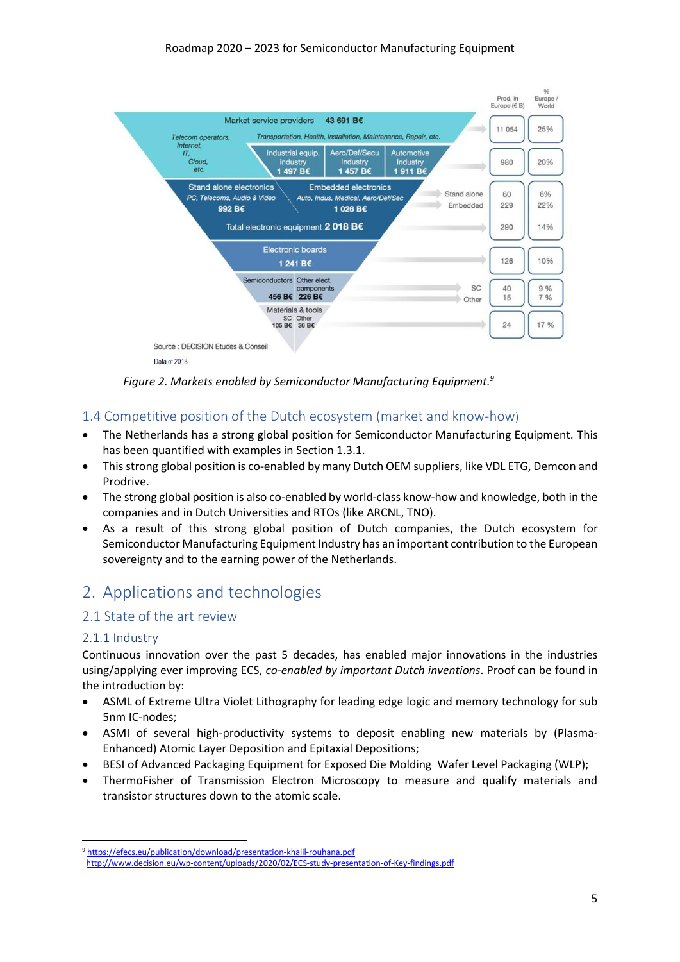

*Figure 2. Markets enabled by Semiconductor Manufacturing Equipment.<sup>9</sup>*

# <span id="page-4-0"></span>1.4 Competitive position of the Dutch ecosystem (market and know-how)

- The Netherlands has a strong global position for Semiconductor Manufacturing Equipment. This has been quantified with examples in Section 1.3.1.
- This strong global position is co-enabled by many Dutch OEM suppliers, like VDL ETG, Demcon and Prodrive.
- The strong global position is also co-enabled by world-class know-how and knowledge, both in the companies and in Dutch Universities and RTOs (like ARCNL, TNO).
- As a result of this strong global position of Dutch companies, the Dutch ecosystem for Semiconductor Manufacturing Equipment Industry has an important contribution to the European sovereignty and to the earning power of the Netherlands.

# <span id="page-4-1"></span>2. Applications and technologies

## <span id="page-4-2"></span>2.1 State of the art review

### <span id="page-4-3"></span>2.1.1 Industry

Continuous innovation over the past 5 decades, has enabled major innovations in the industries using/applying ever improving ECS, *co-enabled by important Dutch inventions*. Proof can be found in the introduction by:

- ASML of Extreme Ultra Violet Lithography for leading edge logic and memory technology for sub 5nm IC-nodes;
- ASMI of several high-productivity systems to deposit enabling new materials by (Plasma-Enhanced) Atomic Layer Deposition and Epitaxial Depositions;
- BESI of Advanced Packaging Equipment for Exposed Die Molding Wafer Level Packaging (WLP);
- ThermoFisher of Transmission Electron Microscopy to measure and qualify materials and transistor structures down to the atomic scale.

<sup>9</sup> <https://efecs.eu/publication/download/presentation-khalil-rouhana.pdf>

<http://www.decision.eu/wp-content/uploads/2020/02/ECS-study-presentation-of-Key-findings.pdf>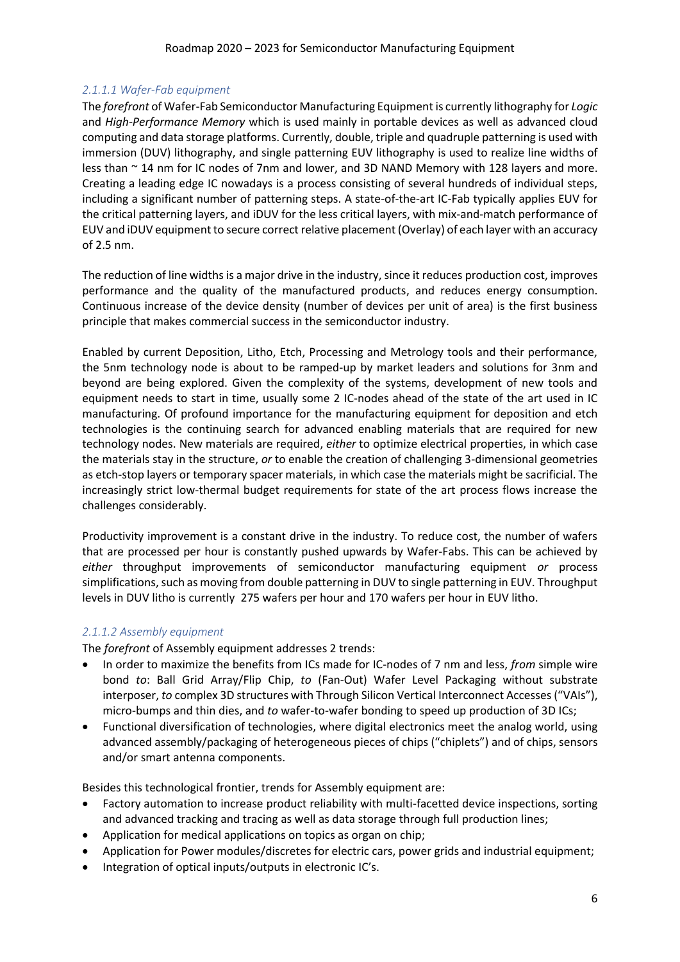#### *2.1.1.1 Wafer-Fab equipment*

The *forefront* of Wafer-Fab Semiconductor Manufacturing Equipment is currently lithography for *Logic* and *High-Performance Memory* which is used mainly in portable devices as well as advanced cloud computing and data storage platforms. Currently, double, triple and quadruple patterning is used with immersion (DUV) lithography, and single patterning EUV lithography is used to realize line widths of less than ~ 14 nm for IC nodes of 7nm and lower, and 3D NAND Memory with 128 layers and more. Creating a leading edge IC nowadays is a process consisting of several hundreds of individual steps, including a significant number of patterning steps. A state-of-the-art IC-Fab typically applies EUV for the critical patterning layers, and iDUV for the less critical layers, with mix-and-match performance of EUV and iDUV equipment to secure correct relative placement (Overlay) of each layer with an accuracy of 2.5 nm.

The reduction of line widths is a major drive in the industry, since it reduces production cost, improves performance and the quality of the manufactured products, and reduces energy consumption. Continuous increase of the device density (number of devices per unit of area) is the first business principle that makes commercial success in the semiconductor industry.

Enabled by current Deposition, Litho, Etch, Processing and Metrology tools and their performance, the 5nm technology node is about to be ramped-up by market leaders and solutions for 3nm and beyond are being explored. Given the complexity of the systems, development of new tools and equipment needs to start in time, usually some 2 IC-nodes ahead of the state of the art used in IC manufacturing. Of profound importance for the manufacturing equipment for deposition and etch technologies is the continuing search for advanced enabling materials that are required for new technology nodes. New materials are required, *either* to optimize electrical properties, in which case the materials stay in the structure, *or* to enable the creation of challenging 3-dimensional geometries as etch-stop layers or temporary spacer materials, in which case the materials might be sacrificial. The increasingly strict low-thermal budget requirements for state of the art process flows increase the challenges considerably.

Productivity improvement is a constant drive in the industry. To reduce cost, the number of wafers that are processed per hour is constantly pushed upwards by Wafer-Fabs. This can be achieved by *either* throughput improvements of semiconductor manufacturing equipment *or* process simplifications, such as moving from double patterning in DUV to single patterning in EUV. Throughput levels in DUV litho is currently 275 wafers per hour and 170 wafers per hour in EUV litho.

### *2.1.1.2 Assembly equipment*

The *forefront* of Assembly equipment addresses 2 trends:

- In order to maximize the benefits from ICs made for IC-nodes of 7 nm and less, *from* simple wire bond *to*: Ball Grid Array/Flip Chip, *to* (Fan-Out) Wafer Level Packaging without substrate interposer, *to* complex 3D structures with Through Silicon Vertical Interconnect Accesses ("VAIs"), micro-bumps and thin dies, and *to* wafer-to-wafer bonding to speed up production of 3D ICs;
- Functional diversification of technologies, where digital electronics meet the analog world, using advanced assembly/packaging of heterogeneous pieces of chips ("chiplets") and of chips, sensors and/or smart antenna components.

Besides this technological frontier, trends for Assembly equipment are:

- Factory automation to increase product reliability with multi-facetted device inspections, sorting and advanced tracking and tracing as well as data storage through full production lines;
- Application for medical applications on topics as organ on chip;
- Application for Power modules/discretes for electric cars, power grids and industrial equipment;
- Integration of optical inputs/outputs in electronic IC's.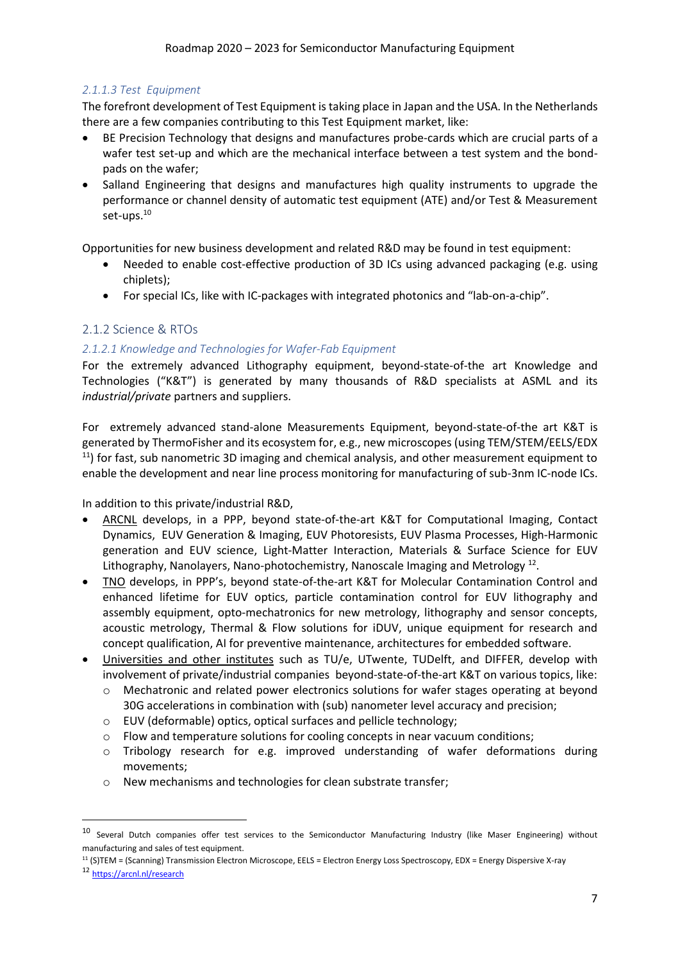## *2.1.1.3 Test Equipment*

The forefront development of Test Equipment is taking place in Japan and the USA. In the Netherlands there are a few companies contributing to this Test Equipment market, like:

- BE Precision Technology that designs and manufactures probe-cards which are crucial parts of a wafer test set-up and which are the mechanical interface between a test system and the bondpads on the wafer;
- Salland Engineering that designs and manufactures high quality instruments to upgrade the performance or channel density of automatic test equipment (ATE) and/or Test & Measurement set-ups.<sup>10</sup>

Opportunities for new business development and related R&D may be found in test equipment:

- Needed to enable cost-effective production of 3D ICs using advanced packaging (e.g. using chiplets);
- For special ICs, like with IC-packages with integrated photonics and "lab-on-a-chip".

# <span id="page-6-0"></span>2.1.2 Science & RTOs

## *2.1.2.1 Knowledge and Technologies for Wafer-Fab Equipment*

For the extremely advanced Lithography equipment, beyond-state-of-the art Knowledge and Technologies ("K&T") is generated by many thousands of R&D specialists at ASML and its *industrial/private* partners and suppliers.

For extremely advanced stand-alone Measurements Equipment, beyond-state-of-the art K&T is generated by ThermoFisher and its ecosystem for, e.g., new microscopes (using TEM/STEM/EELS/EDX  $11$ ) for fast, sub nanometric 3D imaging and chemical analysis, and other measurement equipment to enable the development and near line process monitoring for manufacturing of sub-3nm IC-node ICs.

In addition to this private/industrial R&D,

- ARCNL develops, in a PPP, beyond state-of-the-art K&T for Computational Imaging, Contact Dynamics, EUV Generation & Imaging, EUV Photoresists, EUV Plasma Processes, High-Harmonic generation and EUV science, Light-Matter Interaction, Materials & Surface Science for EUV Lithography, Nanolayers, Nano-photochemistry, Nanoscale Imaging and Metrology<sup>12</sup>.
- TNO develops, in PPP's, beyond state-of-the-art K&T for Molecular Contamination Control and enhanced lifetime for EUV optics, particle contamination control for EUV lithography and assembly equipment, opto-mechatronics for new metrology, lithography and sensor concepts, acoustic metrology, Thermal & Flow solutions for iDUV, unique equipment for research and concept qualification, AI for preventive maintenance, architectures for embedded software.
- Universities and other institutes such as TU/e, UTwente, TUDelft, and DIFFER, develop with involvement of private/industrial companies beyond-state-of-the-art K&T on various topics, like:
	- o Mechatronic and related power electronics solutions for wafer stages operating at beyond 30G accelerations in combination with (sub) nanometer level accuracy and precision;
	- o EUV (deformable) optics, optical surfaces and pellicle technology;
	- $\circ$  Flow and temperature solutions for cooling concepts in near vacuum conditions;
	- o Tribology research for e.g. improved understanding of wafer deformations during movements;
	- o New mechanisms and technologies for clean substrate transfer;

<sup>11</sup> (S)TEM = (Scanning) Transmission Electron Microscope, EELS = Electron Energy Loss Spectroscopy, EDX = Energy Dispersive X-ray

 $10$  Several Dutch companies offer test services to the Semiconductor Manufacturing Industry (like Maser Engineering) without manufacturing and sales of test equipment.

<sup>12</sup> <https://arcnl.nl/research>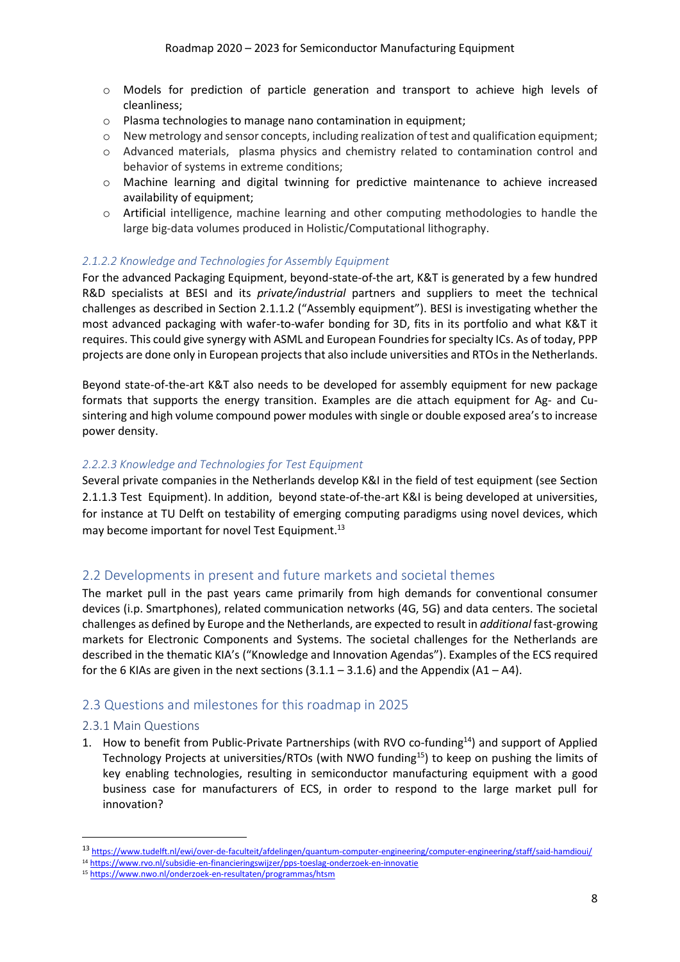- o Models for prediction of particle generation and transport to achieve high levels of cleanliness;
- o Plasma technologies to manage nano contamination in equipment;
- o New metrology and sensor concepts, including realization of test and qualification equipment;
- o Advanced materials, plasma physics and chemistry related to contamination control and behavior of systems in extreme conditions;
- o Machine learning and digital twinning for predictive maintenance to achieve increased availability of equipment:
- o Artificial intelligence, machine learning and other computing methodologies to handle the large big-data volumes produced in Holistic/Computational lithography.

#### *2.1.2.2 Knowledge and Technologies for Assembly Equipment*

For the advanced Packaging Equipment, beyond-state-of-the art, K&T is generated by a few hundred R&D specialists at BESI and its *private/industrial* partners and suppliers to meet the technical challenges as described in Section 2.1.1.2 ("Assembly equipment"). BESI is investigating whether the most advanced packaging with wafer-to-wafer bonding for 3D, fits in its portfolio and what K&T it requires. This could give synergy with ASML and European Foundries for specialty ICs. As of today, PPP projects are done only in European projects that also include universities and RTOs in the Netherlands.

Beyond state-of-the-art K&T also needs to be developed for assembly equipment for new package formats that supports the energy transition. Examples are die attach equipment for Ag- and Cusintering and high volume compound power modules with single or double exposed area's to increase power density.

#### *2.2.2.3 Knowledge and Technologies for Test Equipment*

Several private companies in the Netherlands develop K&I in the field of test equipment (see Section 2.1.1.3 Test Equipment). In addition, beyond state-of-the-art K&I is being developed at universities, for instance at TU Delft on testability of emerging computing paradigms using novel devices, which may become important for novel Test Equipment. 13

## <span id="page-7-0"></span>2.2 Developments in present and future markets and societal themes

The market pull in the past years came primarily from high demands for conventional consumer devices (i.p. Smartphones), related communication networks (4G, 5G) and data centers. The societal challenges as defined by Europe and the Netherlands, are expected to result in *additional* fast-growing markets for Electronic Components and Systems. The societal challenges for the Netherlands are described in the thematic KIA's ("Knowledge and Innovation Agendas"). Examples of the ECS required for the 6 KIAs are given in the next sections  $(3.1.1 - 3.1.6)$  and the Appendix  $(A1 - AA)$ .

### <span id="page-7-1"></span>2.3 Questions and milestones for this roadmap in 2025

#### <span id="page-7-2"></span>2.3.1 Main Questions

1. How to benefit from Public-Private Partnerships (with RVO co-funding<sup>14</sup>) and support of Applied Technology Projects at universities/RTOs (with NWO funding<sup>15</sup>) to keep on pushing the limits of key enabling technologies, resulting in semiconductor manufacturing equipment with a good business case for manufacturers of ECS, in order to respond to the large market pull for innovation?

<sup>13</sup> <https://www.tudelft.nl/ewi/over-de-faculteit/afdelingen/quantum-computer-engineering/computer-engineering/staff/said-hamdioui/>

<sup>14</sup> <https://www.rvo.nl/subsidie-en-financieringswijzer/pps-toeslag-onderzoek-en-innovatie>

<sup>15</sup> <https://www.nwo.nl/onderzoek-en-resultaten/programmas/htsm>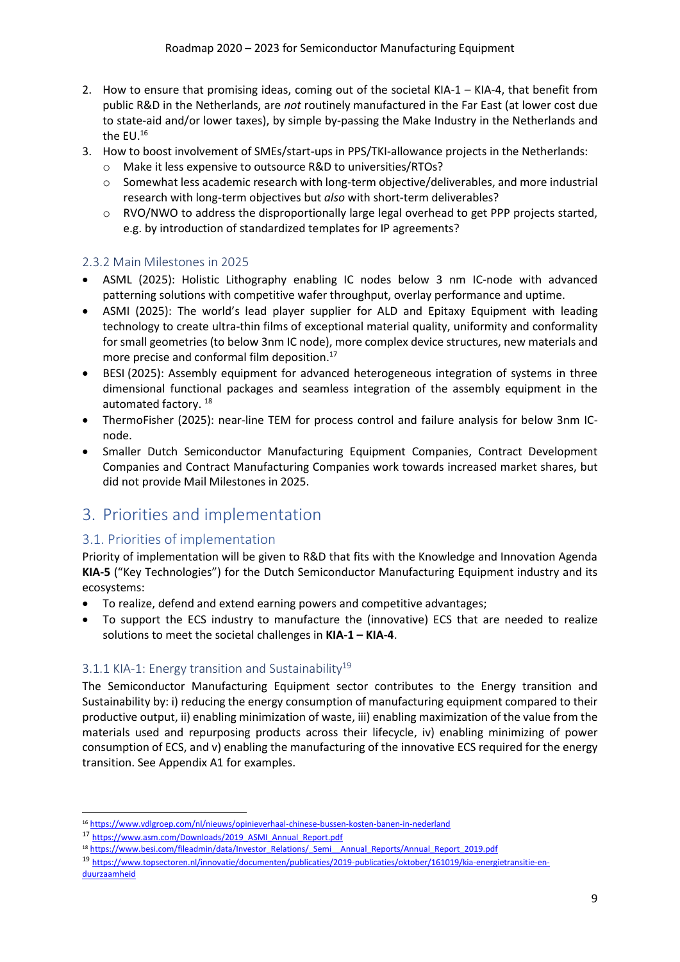- 2. How to ensure that promising ideas, coming out of the societal KIA-1 KIA-4, that benefit from public R&D in the Netherlands, are *not* routinely manufactured in the Far East (at lower cost due to state-aid and/or lower taxes), by simple by-passing the Make Industry in the Netherlands and the EU.<sup>16</sup>
- 3. How to boost involvement of SMEs/start-ups in PPS/TKI-allowance projects in the Netherlands:
	- o Make it less expensive to outsource R&D to universities/RTOs?
	- $\circ$  Somewhat less academic research with long-term objective/deliverables, and more industrial research with long-term objectives but *also* with short-term deliverables?
	- $\circ$  RVO/NWO to address the disproportionally large legal overhead to get PPP projects started, e.g. by introduction of standardized templates for IP agreements?

## <span id="page-8-0"></span>2.3.2 Main Milestones in 2025

- ASML (2025): Holistic Lithography enabling IC nodes below 3 nm IC-node with advanced patterning solutions with competitive wafer throughput, overlay performance and uptime.
- ASMI (2025): The world's lead player supplier for ALD and Epitaxy Equipment with leading technology to create ultra-thin films of exceptional material quality, uniformity and conformality for small geometries (to below 3nm IC node), more complex device structures, new materials and more precise and conformal film deposition. 17
- BESI (2025): Assembly equipment for advanced heterogeneous integration of systems in three dimensional functional packages and seamless integration of the assembly equipment in the automated factory.<sup>18</sup>
- ThermoFisher (2025): near-line TEM for process control and failure analysis for below 3nm ICnode.
- Smaller Dutch Semiconductor Manufacturing Equipment Companies, Contract Development Companies and Contract Manufacturing Companies work towards increased market shares, but did not provide Mail Milestones in 2025.

# <span id="page-8-1"></span>3. Priorities and implementation

# <span id="page-8-2"></span>3.1. Priorities of implementation

Priority of implementation will be given to R&D that fits with the Knowledge and Innovation Agenda **KIA-5** ("Key Technologies") for the Dutch Semiconductor Manufacturing Equipment industry and its ecosystems:

- To realize, defend and extend earning powers and competitive advantages;
- To support the ECS industry to manufacture the (innovative) ECS that are needed to realize solutions to meet the societal challenges in **KIA-1 – KIA-4**.

## <span id="page-8-3"></span>3.1.1 KIA-1: Energy transition and Sustainability<sup>19</sup>

The Semiconductor Manufacturing Equipment sector contributes to the Energy transition and Sustainability by: i) reducing the energy consumption of manufacturing equipment compared to their productive output, ii) enabling minimization of waste, iii) enabling maximization of the value from the materials used and repurposing products across their lifecycle, iv) enabling minimizing of power consumption of ECS, and v) enabling the manufacturing of the innovative ECS required for the energy transition. See Appendix A1 for examples.

<sup>16</sup> <https://www.vdlgroep.com/nl/nieuws/opinieverhaal-chinese-bussen-kosten-banen-in-nederland>

<sup>17</sup> [https://www.asm.com/Downloads/2019\\_ASMI\\_Annual\\_Report.pdf](https://www.asm.com/Downloads/2019_ASMI_Annual_Report.pdf)

<sup>18</sup> [https://www.besi.com/fileadmin/data/Investor\\_Relations/\\_Semi\\_\\_Annual\\_Reports/Annual\\_Report\\_2019.pdf](https://www.besi.com/fileadmin/data/Investor_Relations/_Semi__Annual_Reports/Annual_Report_2019.pdf)

<sup>19</sup> [https://www.topsectoren.nl/innovatie/documenten/publicaties/2019-publicaties/oktober/161019/kia-energietransitie-en](https://www.topsectoren.nl/innovatie/documenten/publicaties/2019-publicaties/oktober/161019/kia-energietransitie-en-duurzaamheid)[duurzaamheid](https://www.topsectoren.nl/innovatie/documenten/publicaties/2019-publicaties/oktober/161019/kia-energietransitie-en-duurzaamheid)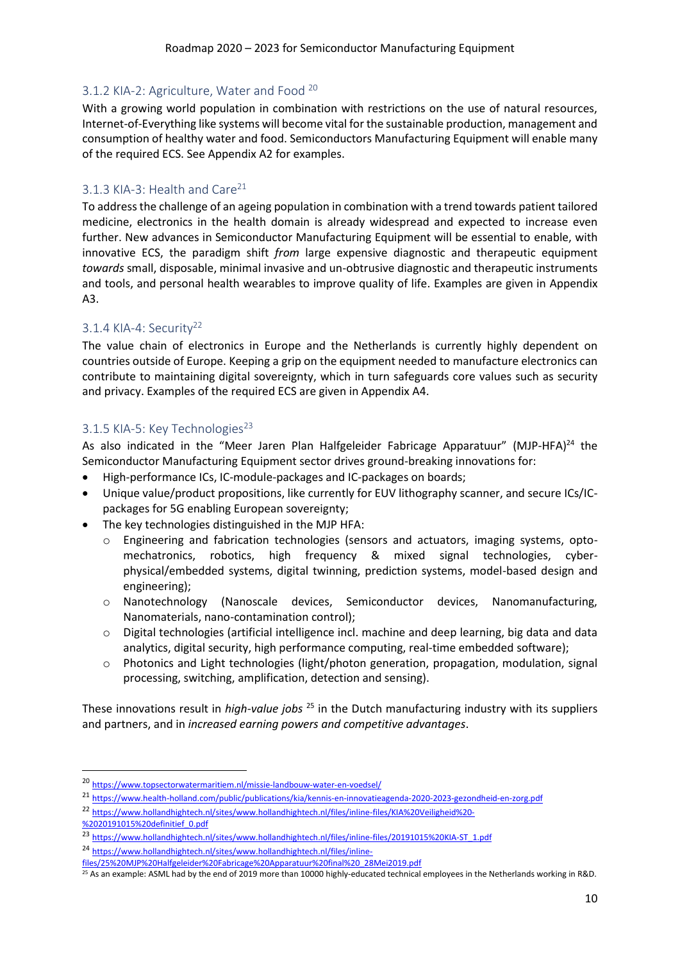### <span id="page-9-0"></span>3.1.2 KIA-2: Agriculture, Water and Food <sup>20</sup>

With a growing world population in combination with restrictions on the use of natural resources, Internet-of-Everything like systems will become vital for the sustainable production, management and consumption of healthy water and food. Semiconductors Manufacturing Equipment will enable many of the required ECS. See Appendix A2 for examples.

### <span id="page-9-1"></span>3.1.3 KIA-3: Health and Care<sup>21</sup>

To addressthe challenge of an ageing population in combination with a trend towards patient tailored medicine, electronics in the health domain is already widespread and expected to increase even further. New advances in Semiconductor Manufacturing Equipment will be essential to enable, with innovative ECS, the paradigm shift *from* large expensive diagnostic and therapeutic equipment *towards* small, disposable, minimal invasive and un-obtrusive diagnostic and therapeutic instruments and tools, and personal health wearables to improve quality of life. Examples are given in Appendix A3.

## <span id="page-9-2"></span>3.1.4 KIA-4: Security<sup>22</sup>

The value chain of electronics in Europe and the Netherlands is currently highly dependent on countries outside of Europe. Keeping a grip on the equipment needed to manufacture electronics can contribute to maintaining digital sovereignty, which in turn safeguards core values such as security and privacy. Examples of the required ECS are given in Appendix A4.

## <span id="page-9-3"></span>3.1.5 KIA-5: Key Technologies<sup>23</sup>

As also indicated in the "Meer Jaren Plan Halfgeleider Fabricage Apparatuur" (MJP-HFA)<sup>24</sup> the Semiconductor Manufacturing Equipment sector drives ground-breaking innovations for:

- High-performance ICs, IC-module-packages and IC-packages on boards;
- Unique value/product propositions, like currently for EUV lithography scanner, and secure ICs/ICpackages for 5G enabling European sovereignty;
- The key technologies distinguished in the MJP HFA:
	- $\circ$  Engineering and fabrication technologies (sensors and actuators, imaging systems, optomechatronics, robotics, high frequency & mixed signal technologies, cyberphysical/embedded systems, digital twinning, prediction systems, model-based design and engineering);
	- o Nanotechnology (Nanoscale devices, Semiconductor devices, Nanomanufacturing, Nanomaterials, nano-contamination control);
	- $\circ$  Digital technologies (artificial intelligence incl. machine and deep learning, big data and data analytics, digital security, high performance computing, real-time embedded software);
	- o Photonics and Light technologies (light/photon generation, propagation, modulation, signal processing, switching, amplification, detection and sensing).

These innovations result in *high-value jobs* <sup>25</sup> in the Dutch manufacturing industry with its suppliers and partners, and in *increased earning powers and competitive advantages*.

<sup>20</sup> <https://www.topsectorwatermaritiem.nl/missie-landbouw-water-en-voedsel/>

<sup>21</sup> <https://www.health-holland.com/public/publications/kia/kennis-en-innovatieagenda-2020-2023-gezondheid-en-zorg.pdf>

<sup>22</sup> [https://www.hollandhightech.nl/sites/www.hollandhightech.nl/files/inline-files/KIA%20Veiligheid%20-](https://www.hollandhightech.nl/sites/www.hollandhightech.nl/files/inline-files/KIA%20Veiligheid%20-%2020191015%20definitief_0.pdf)

[<sup>%2020191015%20</sup>definitief\\_0.pdf](https://www.hollandhightech.nl/sites/www.hollandhightech.nl/files/inline-files/KIA%20Veiligheid%20-%2020191015%20definitief_0.pdf)

<sup>23</sup> [https://www.hollandhightech.nl/sites/www.hollandhightech.nl/files/inline-files/20191015%20KIA-ST\\_1.pdf](https://www.hollandhightech.nl/sites/www.hollandhightech.nl/files/inline-files/20191015%20KIA-ST_1.pdf)

<sup>24</sup> [https://www.hollandhightech.nl/sites/www.hollandhightech.nl/files/inline-](https://www.hollandhightech.nl/sites/www.hollandhightech.nl/files/inline-files/25%20MJP%20Halfgeleider%20Fabricage%20Apparatuur%20final%20_28Mei2019.pdf)

[files/25%20MJP%20Halfgeleider%20Fabricage%20Apparatuur%20final%20\\_28Mei2019.pdf](https://www.hollandhightech.nl/sites/www.hollandhightech.nl/files/inline-files/25%20MJP%20Halfgeleider%20Fabricage%20Apparatuur%20final%20_28Mei2019.pdf)

 $25$  As an example: ASML had by the end of 2019 more than 10000 highly-educated technical employees in the Netherlands working in R&D.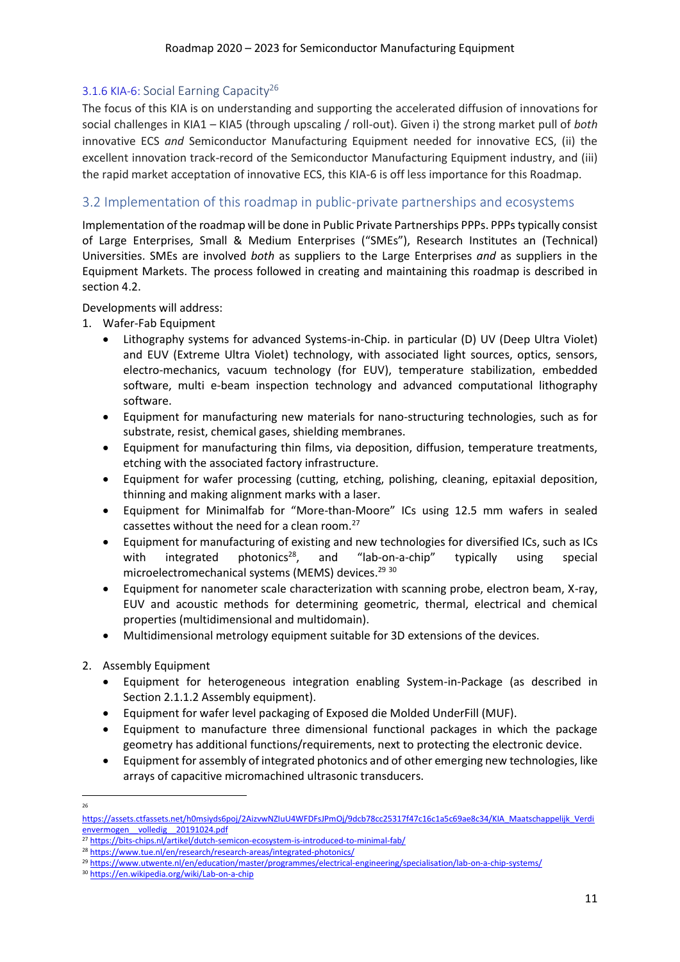## <span id="page-10-0"></span>3.1.6 KIA-6: Social Earning Capacity<sup>26</sup>

The focus of this KIA is on understanding and supporting the accelerated diffusion of innovations for social challenges in KIA1 – KIA5 (through upscaling / roll-out). Given i) the strong market pull of *both* innovative ECS *and* Semiconductor Manufacturing Equipment needed for innovative ECS, (ii) the excellent innovation track-record of the Semiconductor Manufacturing Equipment industry, and (iii) the rapid market acceptation of innovative ECS, this KIA-6 is off less importance for this Roadmap.

# <span id="page-10-1"></span>3.2 Implementation of this roadmap in public-private partnerships and ecosystems

Implementation of the roadmap will be done in Public Private Partnerships PPPs. PPPs typically consist of Large Enterprises, Small & Medium Enterprises ("SMEs"), Research Institutes an (Technical) Universities. SMEs are involved *both* as suppliers to the Large Enterprises *and* as suppliers in the Equipment Markets. The process followed in creating and maintaining this roadmap is described in section 4.2.

### Developments will address:

1. Wafer-Fab Equipment

- Lithography systems for advanced Systems-in-Chip. in particular (D) UV (Deep Ultra Violet) and EUV (Extreme Ultra Violet) technology, with associated light sources, optics, sensors, electro-mechanics, vacuum technology (for EUV), temperature stabilization, embedded software, multi e-beam inspection technology and advanced computational lithography software.
- Equipment for manufacturing new materials for nano-structuring technologies, such as for substrate, resist, chemical gases, shielding membranes.
- Equipment for manufacturing thin films, via deposition, diffusion, temperature treatments, etching with the associated factory infrastructure.
- Equipment for wafer processing (cutting, etching, polishing, cleaning, epitaxial deposition, thinning and making alignment marks with a laser.
- Equipment for Minimalfab for "More-than-Moore" ICs using 12.5 mm wafers in sealed cassettes without the need for a clean room.<sup>27</sup>
- Equipment for manufacturing of existing and new technologies for diversified ICs, such as ICs with integrated photonics<sup>28</sup>, and "lab-on-a-chip" typically using special microelectromechanical systems (MEMS) devices. 29 30
- Equipment for nanometer scale characterization with scanning probe, electron beam, X-ray, EUV and acoustic methods for determining geometric, thermal, electrical and chemical properties (multidimensional and multidomain).
- Multidimensional metrology equipment suitable for 3D extensions of the devices.
- 2. Assembly Equipment
	- Equipment for heterogeneous integration enabling System-in-Package (as described in Section 2.1.1.2 Assembly equipment).
	- Equipment for wafer level packaging of Exposed die Molded UnderFill (MUF).
	- Equipment to manufacture three dimensional functional packages in which the package geometry has additional functions/requirements, next to protecting the electronic device.
	- Equipment for assembly of integrated photonics and of other emerging new technologies, like arrays of capacitive micromachined ultrasonic transducers.

<sup>26</sup>

[https://assets.ctfassets.net/h0msiyds6poj/2AizvwNZIuU4WFDFsJPmOj/9dcb78cc25317f47c16c1a5c69ae8c34/KIA\\_Maatschappelijk\\_Verdi](https://assets.ctfassets.net/h0msiyds6poj/2AizvwNZIuU4WFDFsJPmOj/9dcb78cc25317f47c16c1a5c69ae8c34/KIA_Maatschappelijk_Verdienvermogen__volledig__20191024.pdf) [envermogen\\_\\_volledig\\_\\_20191024.pdf](https://assets.ctfassets.net/h0msiyds6poj/2AizvwNZIuU4WFDFsJPmOj/9dcb78cc25317f47c16c1a5c69ae8c34/KIA_Maatschappelijk_Verdienvermogen__volledig__20191024.pdf)

<sup>&</sup>lt;sup>27</sup> <https://bits-chips.nl/artikel/dutch-semicon-ecosystem-is-introduced-to-minimal-fab/>

<sup>28</sup> <https://www.tue.nl/en/research/research-areas/integrated-photonics/>

<sup>29</sup> <https://www.utwente.nl/en/education/master/programmes/electrical-engineering/specialisation/lab-on-a-chip-systems/>

<sup>30</sup> <https://en.wikipedia.org/wiki/Lab-on-a-chip>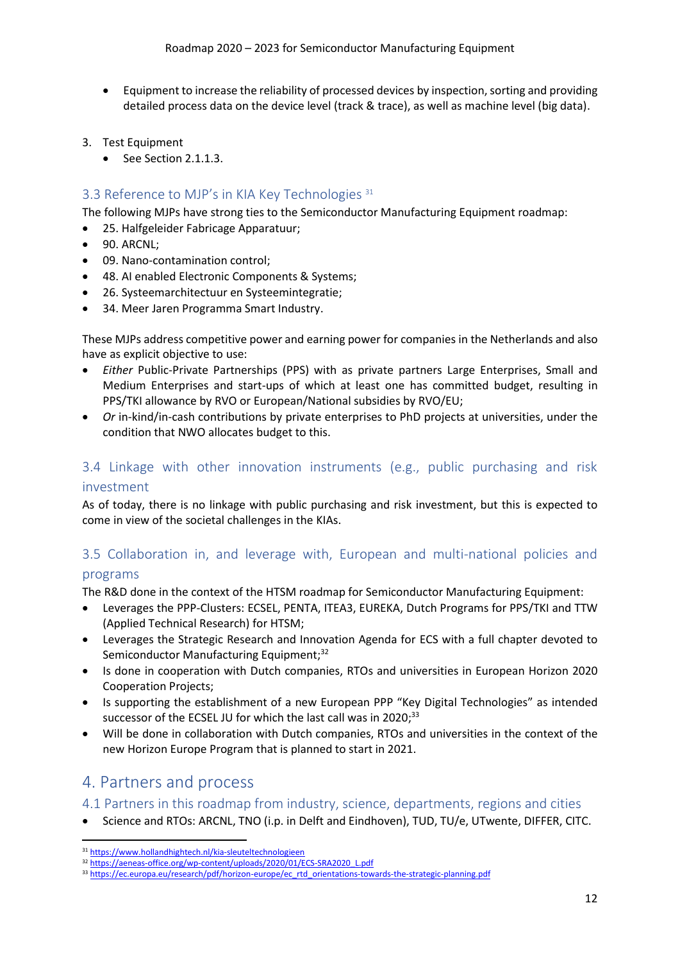- Equipment to increase the reliability of processed devices by inspection, sorting and providing detailed process data on the device level (track & trace), as well as machine level (big data).
- 3. Test Equipment
	- See Section 2.1.1.3.

# <span id="page-11-0"></span>3.3 Reference to MJP's in KIA Key Technologies<sup>31</sup>

The following MJPs have strong ties to the Semiconductor Manufacturing Equipment roadmap:

- 25. Halfgeleider Fabricage Apparatuur;
- 90. ARCNL;
- 09. Nano-contamination control;
- 48. AI enabled Electronic Components & Systems;
- 26. Systeemarchitectuur en Systeemintegratie;
- 34. Meer Jaren Programma Smart Industry.

These MJPs address competitive power and earning power for companies in the Netherlands and also have as explicit objective to use:

- *Either* Public-Private Partnerships (PPS) with as private partners Large Enterprises, Small and Medium Enterprises and start-ups of which at least one has committed budget, resulting in PPS/TKI allowance by RVO or European/National subsidies by RVO/EU;
- *Or* in-kind/in-cash contributions by private enterprises to PhD projects at universities, under the condition that NWO allocates budget to this.

# <span id="page-11-1"></span>3.4 Linkage with other innovation instruments (e.g., public purchasing and risk investment

As of today, there is no linkage with public purchasing and risk investment, but this is expected to come in view of the societal challenges in the KIAs.

# <span id="page-11-2"></span>3.5 Collaboration in, and leverage with, European and multi-national policies and programs

The R&D done in the context of the HTSM roadmap for Semiconductor Manufacturing Equipment:

- Leverages the PPP-Clusters: ECSEL, PENTA, ITEA3, EUREKA, Dutch Programs for PPS/TKI and TTW (Applied Technical Research) for HTSM;
- Leverages the Strategic Research and Innovation Agenda for ECS with a full chapter devoted to Semiconductor Manufacturing Equipment;<sup>32</sup>
- Is done in cooperation with Dutch companies, RTOs and universities in European Horizon 2020 Cooperation Projects;
- Is supporting the establishment of a new European PPP "Key Digital Technologies" as intended successor of the ECSEL JU for which the last call was in 2020;<sup>33</sup>
- Will be done in collaboration with Dutch companies, RTOs and universities in the context of the new Horizon Europe Program that is planned to start in 2021.

# <span id="page-11-3"></span>4. Partners and process

<span id="page-11-4"></span>4.1 Partners in this roadmap from industry, science, departments, regions and cities

• Science and RTOs: ARCNL, TNO (i.p. in Delft and Eindhoven), TUD, TU/e, UTwente, DIFFER, CITC.

<sup>31</sup> <https://www.hollandhightech.nl/kia-sleuteltechnologieen>

<sup>32</sup> [https://aeneas-office.org/wp-content/uploads/2020/01/ECS-SRA2020\\_L.pdf](https://aeneas-office.org/wp-content/uploads/2020/01/ECS-SRA2020_L.pdf)

<sup>33</sup> [https://ec.europa.eu/research/pdf/horizon-europe/ec\\_rtd\\_orientations-towards-the-strategic-planning.pdf](https://ec.europa.eu/research/pdf/horizon-europe/ec_rtd_orientations-towards-the-strategic-planning.pdf)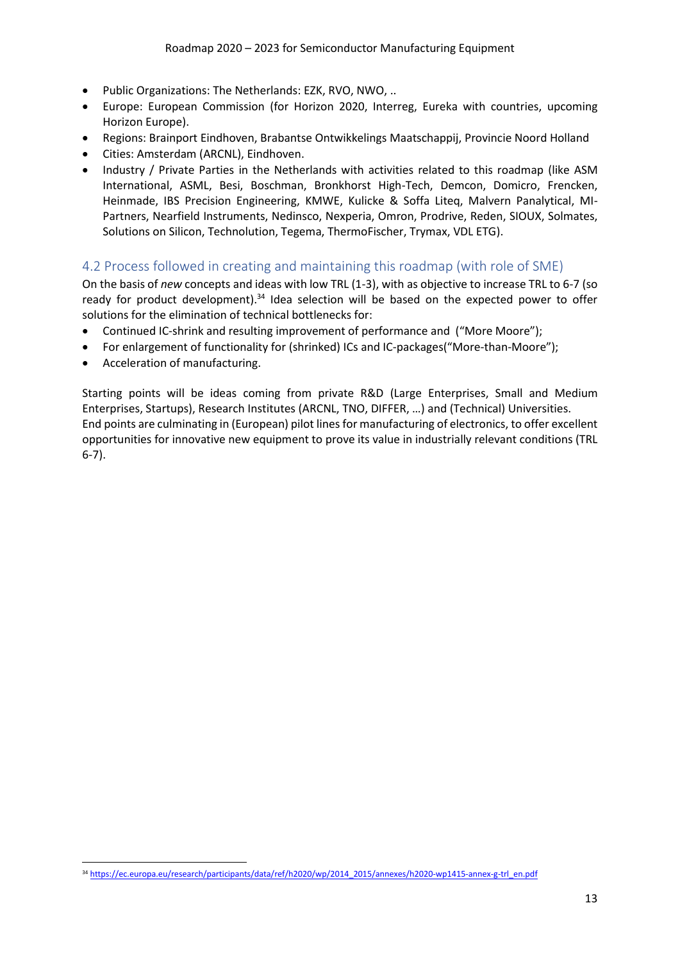- Public Organizations: The Netherlands: EZK, RVO, NWO, ..
- Europe: European Commission (for Horizon 2020, Interreg, Eureka with countries, upcoming Horizon Europe).
- Regions: Brainport Eindhoven, Brabantse Ontwikkelings Maatschappij, Provincie Noord Holland
- Cities: Amsterdam (ARCNL), Eindhoven.
- Industry / Private Parties in the Netherlands with activities related to this roadmap (like ASM International, ASML, Besi, Boschman, Bronkhorst High-Tech, Demcon, Domicro, Frencken, Heinmade, IBS Precision Engineering, KMWE, Kulicke & Soffa Liteq, Malvern Panalytical, MI-Partners, Nearfield Instruments, Nedinsco, Nexperia, Omron, Prodrive, Reden, SIOUX, Solmates, Solutions on Silicon, Technolution, Tegema, ThermoFischer, Trymax, VDL ETG).

## <span id="page-12-0"></span>4.2 Process followed in creating and maintaining this roadmap (with role of SME)

On the basis of *new* concepts and ideas with low TRL (1-3), with as objective to increase TRL to 6-7 (so ready for product development).<sup>34</sup> Idea selection will be based on the expected power to offer solutions for the elimination of technical bottlenecks for:

- Continued IC-shrink and resulting improvement of performance and ("More Moore");
- For enlargement of functionality for (shrinked) ICs and IC-packages("More-than-Moore");
- Acceleration of manufacturing.

Starting points will be ideas coming from private R&D (Large Enterprises, Small and Medium Enterprises, Startups), Research Institutes (ARCNL, TNO, DIFFER, …) and (Technical) Universities. End points are culminating in (European) pilot lines for manufacturing of electronics, to offer excellent opportunities for innovative new equipment to prove its value in industrially relevant conditions (TRL 6-7).

<sup>34</sup> [https://ec.europa.eu/research/participants/data/ref/h2020/wp/2014\\_2015/annexes/h2020-wp1415-annex-g-trl\\_en.pdf](https://ec.europa.eu/research/participants/data/ref/h2020/wp/2014_2015/annexes/h2020-wp1415-annex-g-trl_en.pdf)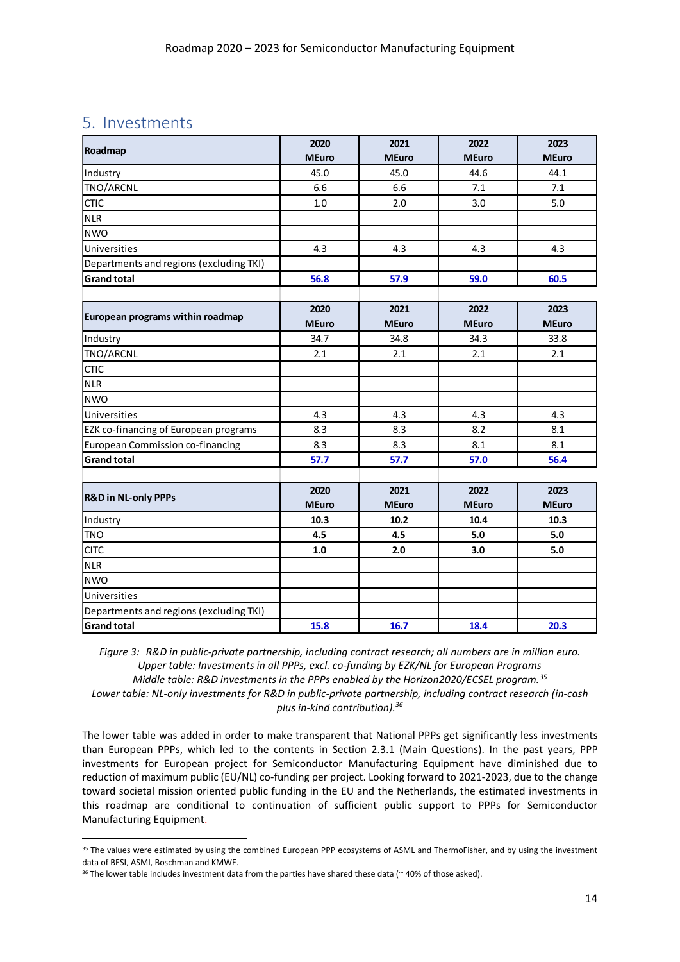# <span id="page-13-0"></span>5. Investments

| Roadmap                                 | 2020         | 2021         | 2022         | 2023         |
|-----------------------------------------|--------------|--------------|--------------|--------------|
|                                         | <b>MEuro</b> | <b>MEuro</b> | <b>MEuro</b> | <b>MEuro</b> |
| Industry                                | 45.0         | 45.0         | 44.6         | 44.1         |
| TNO/ARCNL                               | 6.6          | 6.6          | 7.1          | 7.1          |
| <b>CTIC</b>                             | 1.0          | 2.0          | 3.0          | 5.0          |
| <b>NLR</b>                              |              |              |              |              |
| <b>NWO</b>                              |              |              |              |              |
| Universities                            | 4.3          | 4.3          | 4.3          | 4.3          |
| Departments and regions (excluding TKI) |              |              |              |              |
| <b>Grand total</b>                      | 56.8         | 57.9         | 59.0         | 60.5         |
|                                         |              |              |              |              |
| European programs within roadmap        | 2020         | 2021         | 2022         | 2023         |
|                                         | <b>MEuro</b> | <b>MEuro</b> | <b>MEuro</b> | <b>MEuro</b> |
| Industry                                | 34.7         | 34.8         | 34.3         | 33.8         |
| TNO/ARCNL                               | 2.1          | 2.1          | 2.1          | 2.1          |
| <b>CTIC</b>                             |              |              |              |              |
| <b>NLR</b>                              |              |              |              |              |
| <b>NWO</b>                              |              |              |              |              |
| Universities                            | 4.3          | 4.3          | 4.3          | 4.3          |
| EZK co-financing of European programs   | 8.3          | 8.3          | 8.2          | 8.1          |
| <b>European Commission co-financing</b> | 8.3          | 8.3          | 8.1          | 8.1          |
| <b>Grand total</b>                      | 57.7         | 57.7         | 57.0         | 56.4         |
|                                         |              |              |              |              |
| <b>R&amp;D in NL-only PPPs</b>          | 2020         | 2021         | 2022         | 2023         |
|                                         | <b>MEuro</b> | <b>MEuro</b> | <b>MEuro</b> | <b>MEuro</b> |
| Industry                                | 10.3         | 10.2         | 10.4         | 10.3         |
| <b>TNO</b>                              | 4.5          | 4.5          | 5.0          | 5.0          |
| <b>CITC</b>                             | $1.0$        | 2.0          | 3.0          | 5.0          |
| <b>NLR</b>                              |              |              |              |              |
| <b>NWO</b>                              |              |              |              |              |
| Universities                            |              |              |              |              |
| Departments and regions (excluding TKI) |              |              |              |              |
| <b>Grand total</b>                      | 15.8         | 16.7         | 18.4         | 20.3         |

*Figure 3: R&D in public-private partnership, including contract research; all numbers are in million euro. Upper table: Investments in all PPPs, excl. co-funding by EZK/NL for European Programs Middle table: R&D investments in the PPPs enabled by the Horizon2020/ECSEL program.<sup>35</sup> Lower table: NL-only investments for R&D in public-private partnership, including contract research (in-cash plus in-kind contribution). 36*

The lower table was added in order to make transparent that National PPPs get significantly less investments than European PPPs, which led to the contents in Section 2.3.1 (Main Questions). In the past years, PPP investments for European project for Semiconductor Manufacturing Equipment have diminished due to reduction of maximum public (EU/NL) co-funding per project. Looking forward to 2021-2023, due to the change toward societal mission oriented public funding in the EU and the Netherlands, the estimated investments in this roadmap are conditional to continuation of sufficient public support to PPPs for Semiconductor Manufacturing Equipment.

<sup>&</sup>lt;sup>35</sup> The values were estimated by using the combined European PPP ecosystems of ASML and ThermoFisher, and by using the investment data of BESI, ASMI, Boschman and KMWE.

<sup>&</sup>lt;sup>36</sup> The lower table includes investment data from the parties have shared these data ( $\approx$  40% of those asked).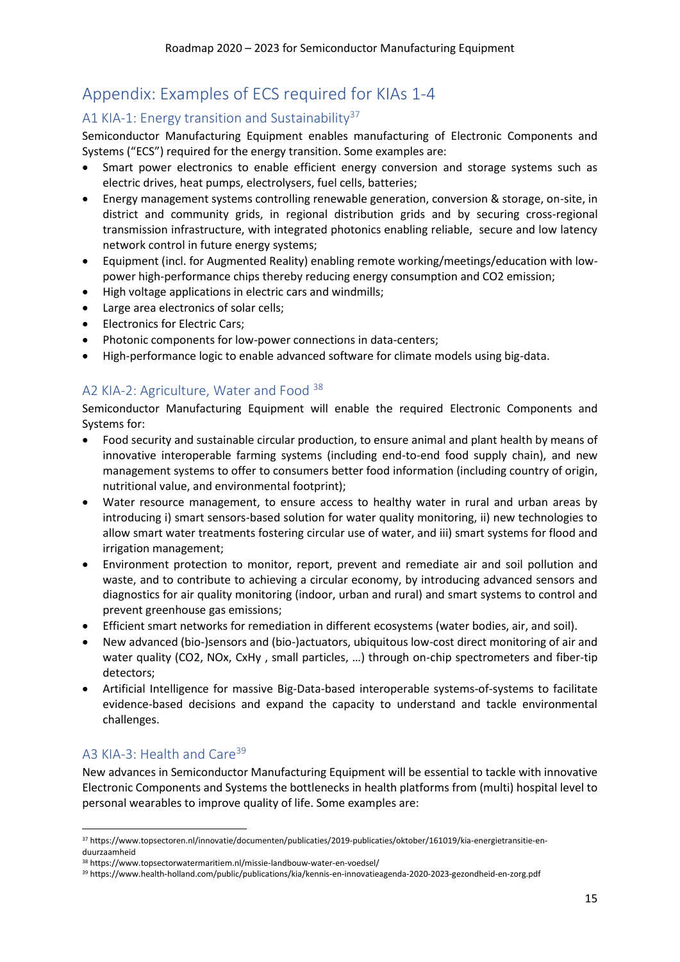# <span id="page-14-0"></span>Appendix: Examples of ECS required for KIAs 1-4

# <span id="page-14-1"></span>A1 KIA-1: Energy transition and Sustainability<sup>37</sup>

Semiconductor Manufacturing Equipment enables manufacturing of Electronic Components and Systems ("ECS") required for the energy transition. Some examples are:

- Smart power electronics to enable efficient energy conversion and storage systems such as electric drives, heat pumps, electrolysers, fuel cells, batteries;
- Energy management systems controlling renewable generation, conversion & storage, on-site, in district and community grids, in regional distribution grids and by securing cross-regional transmission infrastructure, with integrated photonics enabling reliable, secure and low latency network control in future energy systems;
- Equipment (incl. for Augmented Reality) enabling remote working/meetings/education with lowpower high-performance chips thereby reducing energy consumption and CO2 emission;
- High voltage applications in electric cars and windmills;
- Large area electronics of solar cells;
- Electronics for Electric Cars;
- Photonic components for low-power connections in data-centers;
- High-performance logic to enable advanced software for climate models using big-data.

# <span id="page-14-2"></span>A2 KIA-2: Agriculture, Water and Food 38

Semiconductor Manufacturing Equipment will enable the required Electronic Components and Systems for:

- Food security and sustainable circular production, to ensure animal and plant health by means of innovative interoperable farming systems (including end-to-end food supply chain), and new management systems to offer to consumers better food information (including country of origin, nutritional value, and environmental footprint);
- Water resource management, to ensure access to healthy water in rural and urban areas by introducing i) smart sensors-based solution for water quality monitoring, ii) new technologies to allow smart water treatments fostering circular use of water, and iii) smart systems for flood and irrigation management;
- Environment protection to monitor, report, prevent and remediate air and soil pollution and waste, and to contribute to achieving a circular economy, by introducing advanced sensors and diagnostics for air quality monitoring (indoor, urban and rural) and smart systems to control and prevent greenhouse gas emissions;
- Efficient smart networks for remediation in different ecosystems (water bodies, air, and soil).
- New advanced (bio-)sensors and (bio-)actuators, ubiquitous low-cost direct monitoring of air and water quality (CO2, NOx, CxHy , small particles, …) through on-chip spectrometers and fiber-tip detectors;
- Artificial Intelligence for massive Big-Data-based interoperable systems-of-systems to facilitate evidence-based decisions and expand the capacity to understand and tackle environmental challenges.

# <span id="page-14-3"></span>A3 KIA-3: Health and Care<sup>39</sup>

New advances in Semiconductor Manufacturing Equipment will be essential to tackle with innovative Electronic Components and Systems the bottlenecks in health platforms from (multi) hospital level to personal wearables to improve quality of life. Some examples are:

<sup>37</sup> https://www.topsectoren.nl/innovatie/documenten/publicaties/2019-publicaties/oktober/161019/kia-energietransitie-enduurzaamheid

<sup>38</sup> https://www.topsectorwatermaritiem.nl/missie-landbouw-water-en-voedsel/

<sup>39</sup> https://www.health-holland.com/public/publications/kia/kennis-en-innovatieagenda-2020-2023-gezondheid-en-zorg.pdf